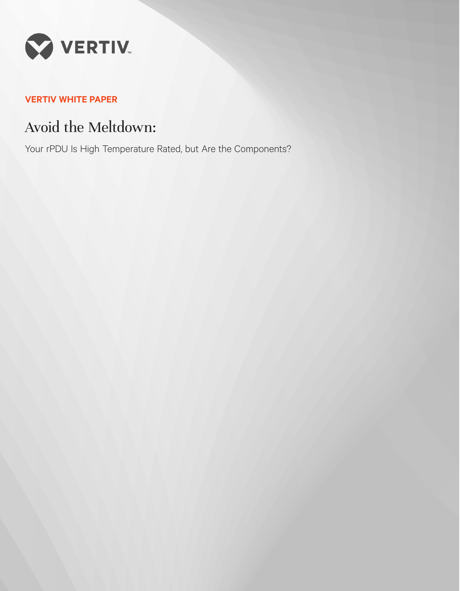

# **VERTIV WHITE PAPER**

# Avoid the Meltdown:

Your rPDU Is High Temperature Rated, but Are the Components?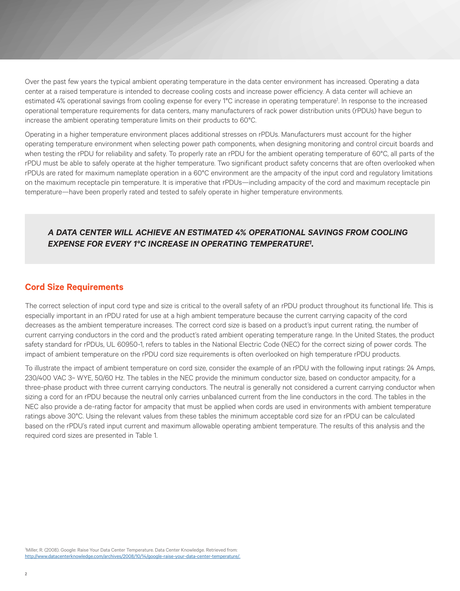Over the past few years the typical ambient operating temperature in the data center environment has increased. Operating a data center at a raised temperature is intended to decrease cooling costs and increase power efficiency. A data center will achieve an estimated 4% operational savings from cooling expense for every 1°C increase in operating temperature<sup>1</sup>. In response to the increased operational temperature requirements for data centers, many manufacturers of rack power distribution units (rPDUs) have begun to increase the ambient operating temperature limits on their products to 60°C.

Operating in a higher temperature environment places additional stresses on rPDUs. Manufacturers must account for the higher operating temperature environment when selecting power path components, when designing monitoring and control circuit boards and when testing the rPDU for reliability and safety. To properly rate an rPDU for the ambient operating temperature of 60°C, all parts of the rPDU must be able to safely operate at the higher temperature. Two significant product safety concerns that are often overlooked when rPDUs are rated for maximum nameplate operation in a 60°C environment are the ampacity of the input cord and regulatory limitations on the maximum receptacle pin temperature. It is imperative that rPDUs—including ampacity of the cord and maximum receptacle pin temperature—have been properly rated and tested to safely operate in higher temperature environments.

# *A DATA CENTER WILL ACHIEVE AN ESTIMATED 4% OPERATIONAL SAVINGS FROM COOLING EXPENSE FOR EVERY 1°C INCREASE IN OPERATING TEMPERATURE1 .*

## **Cord Size Requirements**

The correct selection of input cord type and size is critical to the overall safety of an rPDU product throughout its functional life. This is especially important in an rPDU rated for use at a high ambient temperature because the current carrying capacity of the cord decreases as the ambient temperature increases. The correct cord size is based on a product's input current rating, the number of current carrying conductors in the cord and the product's rated ambient operating temperature range. In the United States, the product safety standard for rPDUs, UL 60950-1, refers to tables in the National Electric Code (NEC) for the correct sizing of power cords. The impact of ambient temperature on the rPDU cord size requirements is often overlooked on high temperature rPDU products.

To illustrate the impact of ambient temperature on cord size, consider the example of an rPDU with the following input ratings: 24 Amps, 230/400 VAC 3~ WYE, 50/60 Hz. The tables in the NEC provide the minimum conductor size, based on conductor ampacity, for a three-phase product with three current carrying conductors. The neutral is generally not considered a current carrying conductor when sizing a cord for an rPDU because the neutral only carries unbalanced current from the line conductors in the cord. The tables in the NEC also provide a de-rating factor for ampacity that must be applied when cords are used in environments with ambient temperature ratings above 30°C. Using the relevant values from these tables the minimum acceptable cord size for an rPDU can be calculated based on the rPDU's rated input current and maximum allowable operating ambient temperature. The results of this analysis and the required cord sizes are presented in Table 1.

1 Miller, R. (2008). Google: Raise Your Data Center Temperature. Data Center Knowledge. Retrieved from: http://www.datacenterknowledge.com/archives/2008/10/14/google-raise-your-data-center-temperature/.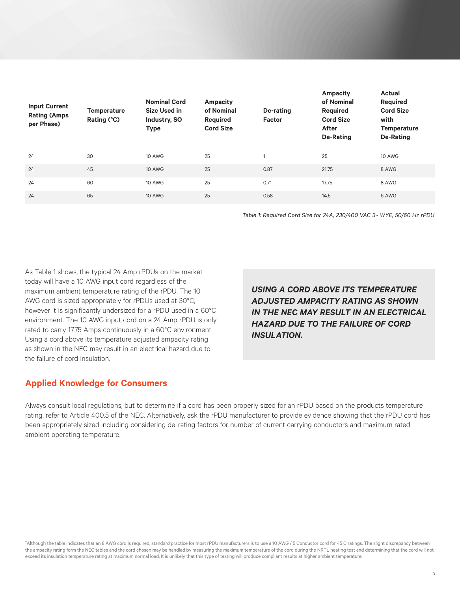| <b>Input Current</b><br><b>Rating (Amps</b><br>per Phase) | <b>Temperature</b><br>Rating (°C) | <b>Nominal Cord</b><br><b>Size Used in</b><br>Industry, SO<br><b>Type</b> | Ampacity<br>of Nominal<br><b>Required</b><br><b>Cord Size</b> | De-rating<br><b>Factor</b> | Ampacity<br>of Nominal<br><b>Required</b><br><b>Cord Size</b><br><b>After</b><br><b>De-Rating</b> | <b>Actual</b><br>Required<br><b>Cord Size</b><br>with<br><b>Temperature</b><br><b>De-Rating</b> |
|-----------------------------------------------------------|-----------------------------------|---------------------------------------------------------------------------|---------------------------------------------------------------|----------------------------|---------------------------------------------------------------------------------------------------|-------------------------------------------------------------------------------------------------|
| 24                                                        | 30                                | 10 AWG                                                                    | 25                                                            | $\overline{ }$             | 25                                                                                                | 10 AWG                                                                                          |
| 24                                                        | 45                                | <b>10 AWG</b>                                                             | 25                                                            | 0.87                       | 21.75                                                                                             | 8 AWG                                                                                           |
| 24                                                        | 60                                | 10 AWG                                                                    | 25                                                            | 0.71                       | 17.75                                                                                             | 8 AWG                                                                                           |
| 24                                                        | 65                                | <b>10 AWG</b>                                                             | 25                                                            | 0.58                       | 14.5                                                                                              | 6 AWG                                                                                           |

*Table 1: Required Cord Size for 24A, 230/400 VAC 3~ WYE, 50/60 Hz rPDU*

As Table 1 shows, the typical 24 Amp rPDUs on the market today will have a 10 AWG input cord regardless of the maximum ambient temperature rating of the rPDU. The 10 AWG cord is sized appropriately for rPDUs used at 30°C, however it is significantly undersized for a rPDU used in a 60°C environment. The 10 AWG input cord on a 24 Amp rPDU is only rated to carry 17.75 Amps continuously in a 60°C environment. Using a cord above its temperature adjusted ampacity rating as shown in the NEC may result in an electrical hazard due to the failure of cord insulation.

*USING A CORD ABOVE ITS TEMPERATURE ADJUSTED AMPACITY RATING AS SHOWN IN THE NEC MAY RESULT IN AN ELECTRICAL HAZARD DUE TO THE FAILURE OF CORD INSULATION.*

## **Applied Knowledge for Consumers**

Always consult local regulations, but to determine if a cord has been properly sized for an rPDU based on the products temperature rating, refer to Article 400.5 of the NEC. Alternatively, ask the rPDU manufacturer to provide evidence showing that the rPDU cord has been appropriately sized including considering de-rating factors for number of current carrying conductors and maximum rated ambient operating temperature.

2Although the table indicates that an 8 AWG cord is required, standard practice for most rPDU manufacturers is to use a 10 AWG / 5 Conductor cord for 45 C ratings. The slight discrepancy between the ampacity rating form the NEC tables and the cord chosen may be handled by measuring the maximum temperature of the cord during the NRTL heating test and determining that the cord will not exceed its insulation temperature rating at maximum normal load. It is unlikely that this type of testing will produce compliant results at higher ambient temperature.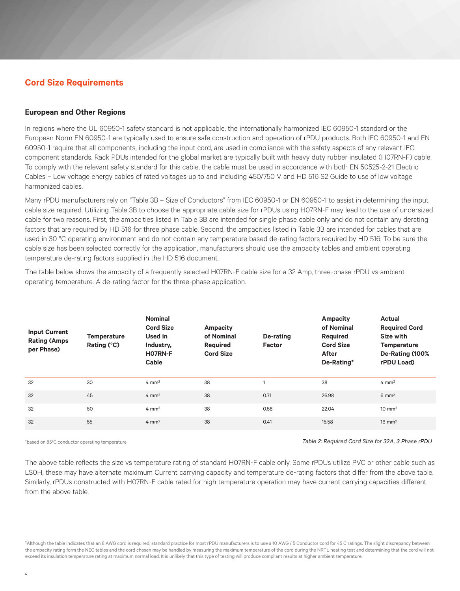# **Cord Size Requirements**

#### **European and Other Regions**

In regions where the UL 60950-1 safety standard is not applicable, the internationally harmonized IEC 60950-1 standard or the European Norm EN 60950-1 are typically used to ensure safe construction and operation of rPDU products. Both IEC 60950-1 and EN 60950-1 require that all components, including the input cord, are used in compliance with the safety aspects of any relevant IEC component standards. Rack PDUs intended for the global market are typically built with heavy duty rubber insulated (H07RN-F) cable. To comply with the relevant safety standard for this cable, the cable must be used in accordance with both EN 50525-2-21 Electric Cables – Low voltage energy cables of rated voltages up to and including 450/750 V and HD 516 S2 Guide to use of low voltage harmonized cables.

Many rPDU manufacturers rely on "Table 3B – Size of Conductors" from IEC 60950-1 or EN 60950-1 to assist in determining the input cable size required. Utilizing Table 3B to choose the appropriate cable size for rPDUs using H07RN-F may lead to the use of undersized cable for two reasons. First, the ampacities listed in Table 3B are intended for single phase cable only and do not contain any derating factors that are required by HD 516 for three phase cable. Second, the ampacities listed in Table 3B are intended for cables that are used in 30 °C operating environment and do not contain any temperature based de-rating factors required by HD 516. To be sure the cable size has been selected correctly for the application, manufacturers should use the ampacity tables and ambient operating temperature de-rating factors supplied in the HD 516 document.

The table below shows the ampacity of a frequently selected H07RN-F cable size for a 32 Amp, three-phase rPDU vs ambient operating temperature. A de-rating factor for the three-phase application.

| <b>Input Current</b><br><b>Rating (Amps</b><br>per Phase) | <b>Temperature</b><br>Rating (°C) | <b>Nominal</b><br><b>Cord Size</b><br>Used in<br>Industry,<br>H07RN-F<br>Cable | Ampacity<br>of Nominal<br>Required<br><b>Cord Size</b> | De-rating<br><b>Factor</b> | Ampacity<br>of Nominal<br>Required<br><b>Cord Size</b><br><b>After</b><br>De-Rating* | Actual<br><b>Required Cord</b><br>Size with<br><b>Temperature</b><br>De-Rating (100%<br>rPDU Load) |
|-----------------------------------------------------------|-----------------------------------|--------------------------------------------------------------------------------|--------------------------------------------------------|----------------------------|--------------------------------------------------------------------------------------|----------------------------------------------------------------------------------------------------|
| 32                                                        | 30                                | $4 \text{ mm}^2$                                                               | 38                                                     |                            | 38                                                                                   | $4 \text{ mm}^2$                                                                                   |
| 32                                                        | 45                                | $4 \text{ mm}^2$                                                               | 38                                                     | 0.71                       | 26.98                                                                                | $6 \text{ mm}^2$                                                                                   |
| 32                                                        | 50                                | $4 \text{ mm}^2$                                                               | 38                                                     | 0.58                       | 22.04                                                                                | $10 \text{ mm}^2$                                                                                  |
| 32                                                        | 55                                | $4 \text{ mm}^2$                                                               | 38                                                     | 0.41                       | 15.58                                                                                | $16 \text{ mm}^2$                                                                                  |

\*based on 85°C conductor operating temperature *Table 2: Required Cord Size for 32A, 3 Phase rPDU*

The above table reflects the size vs temperature rating of standard H07RN-F cable only. Some rPDUs utilize PVC or other cable such as LS0H, these may have alternate maximum Current carrying capacity and temperature de-rating factors that differ from the above table. Similarly, rPDUs constructed with H07RN-F cable rated for high temperature operation may have current carrying capacities different from the above table.

2Although the table indicates that an 8 AWG cord is required, standard practice for most rPDU manufacturers is to use a 10 AWG / 5 Conductor cord for 45 C ratings. The slight discrepancy between the ampacity rating form the NEC tables and the cord chosen may be handled by measuring the maximum temperature of the cord during the NRTL heating test and determining that the cord will not exceed its insulation temperature rating at maximum normal load. It is unlikely that this type of testing will produce compliant results at higher ambient temperature.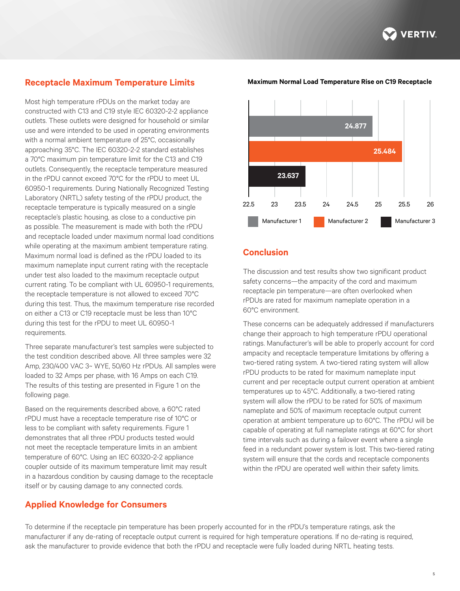

# **Receptacle Maximum Temperature Limits**

Most high temperature rPDUs on the market today are constructed with C13 and C19 style IEC 60320-2-2 appliance outlets. These outlets were designed for household or similar use and were intended to be used in operating environments with a normal ambient temperature of 25°C, occasionally approaching 35°C. The IEC 60320-2-2 standard establishes a 70°C maximum pin temperature limit for the C13 and C19 outlets. Consequently, the receptacle temperature measured in the rPDU cannot exceed 70°C for the rPDU to meet UL 60950-1 requirements. During Nationally Recognized Testing Laboratory (NRTL) safety testing of the rPDU product, the receptacle temperature is typically measured on a single receptacle's plastic housing, as close to a conductive pin as possible. The measurement is made with both the rPDU and receptacle loaded under maximum normal load conditions while operating at the maximum ambient temperature rating. Maximum normal load is defined as the rPDU loaded to its maximum nameplate input current rating with the receptacle under test also loaded to the maximum receptacle output current rating. To be compliant with UL 60950-1 requirements, the receptacle temperature is not allowed to exceed 70°C during this test. Thus, the maximum temperature rise recorded on either a C13 or C19 receptacle must be less than 10°C during this test for the rPDU to meet UL 60950-1 requirements.

Three separate manufacturer's test samples were subjected to the test condition described above. All three samples were 32 Amp, 230/400 VAC 3~ WYE, 50/60 Hz rPDUs. All samples were loaded to 32 Amps per phase, with 16 Amps on each C19. The results of this testing are presented in Figure 1 on the following page.

Based on the requirements described above, a 60°C rated rPDU must have a receptacle temperature rise of 10°C or less to be compliant with safety requirements. Figure 1 demonstrates that all three rPDU products tested would not meet the receptacle temperature limits in an ambient temperature of 60°C. Using an IEC 60320-2-2 appliance coupler outside of its maximum temperature limit may result in a hazardous condition by causing damage to the receptacle itself or by causing damage to any connected cords.

## **Applied Knowledge for Consumers**



## **Conclusion**

The discussion and test results show two significant product safety concerns—the ampacity of the cord and maximum receptacle pin temperature—are often overlooked when rPDUs are rated for maximum nameplate operation in a 60°C environment.

These concerns can be adequately addressed if manufacturers change their approach to high temperature rPDU operational ratings. Manufacturer's will be able to properly account for cord ampacity and receptacle temperature limitations by offering a two-tiered rating system. A two-tiered rating system will allow rPDU products to be rated for maximum nameplate input current and per receptacle output current operation at ambient temperatures up to 45°C. Additionally, a two-tiered rating system will allow the rPDU to be rated for 50% of maximum nameplate and 50% of maximum receptacle output current operation at ambient temperature up to 60°C. The rPDU will be capable of operating at full nameplate ratings at 60°C for short time intervals such as during a failover event where a single feed in a redundant power system is lost. This two-tiered rating system will ensure that the cords and receptacle components within the rPDU are operated well within their safety limits.

To determine if the receptacle pin temperature has been properly accounted for in the rPDU's temperature ratings, ask the manufacturer if any de-rating of receptacle output current is required for high temperature operations. If no de-rating is required, ask the manufacturer to provide evidence that both the rPDU and receptacle were fully loaded during NRTL heating tests.

#### **Maximum Normal Load Temperature Rise on C19 Receptacle**